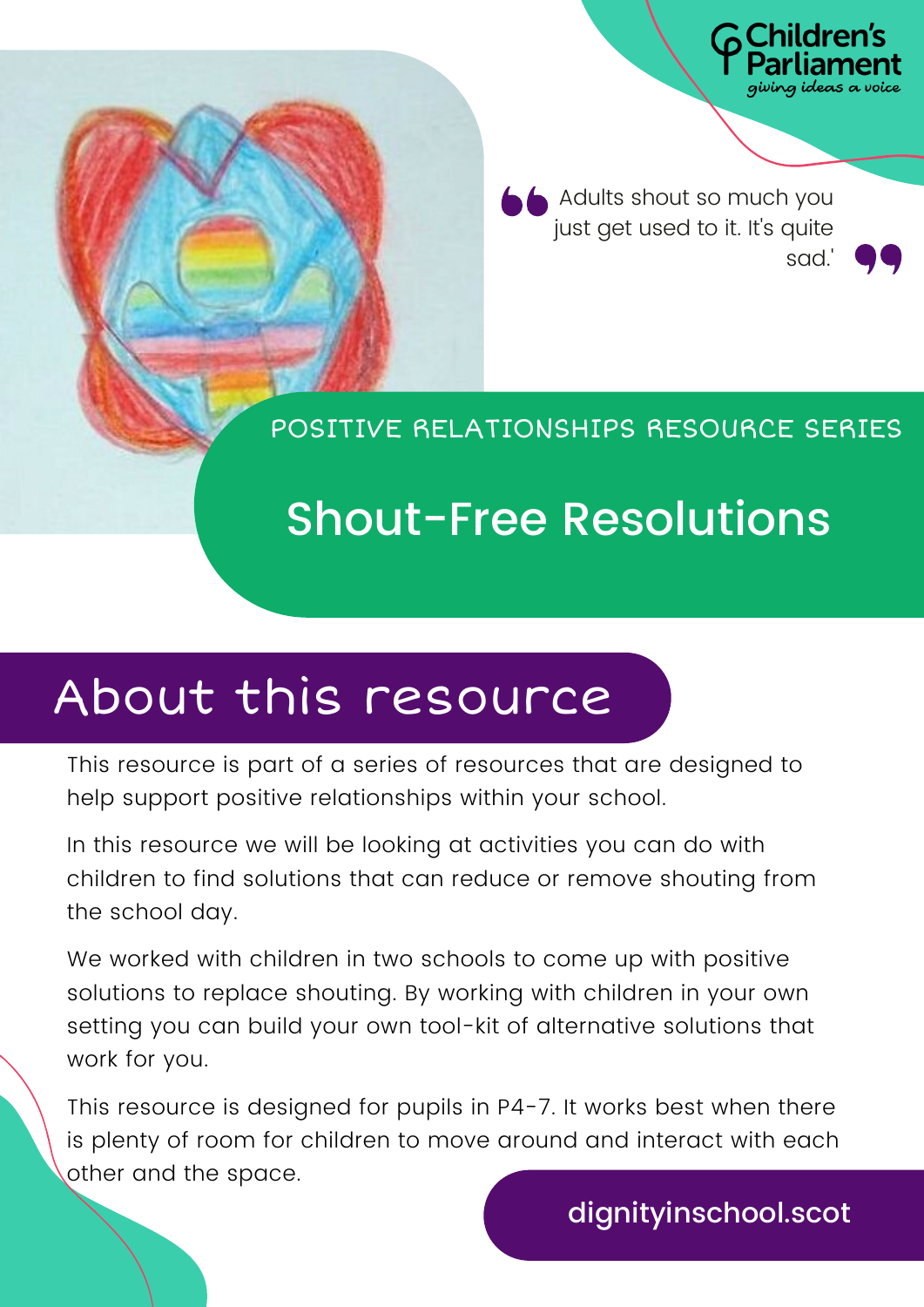A dults shout so much you just get used to it. It's quite sad.'

**Idrer** 

POSITIVE RELATIONSHIPS RESOURCE SERIES

## Shout-Free Resolutions

### About this resource

This resource is part of a series of resources that are designed to help support positive relationships within your school.

In this resource we will be looking at activities you can do with children to find solutions that can reduce or remove shouting from the school day.

We worked with children in two schools to come up with positive solutions to replace shouting. By working with children in your own setting you can build your own tool-kit of alternative solutions that work for you.

This resource is designed for pupils in P4-7. It works best when there is plenty of room for children to move around and interact with each other and the space.

dignityinschool.scot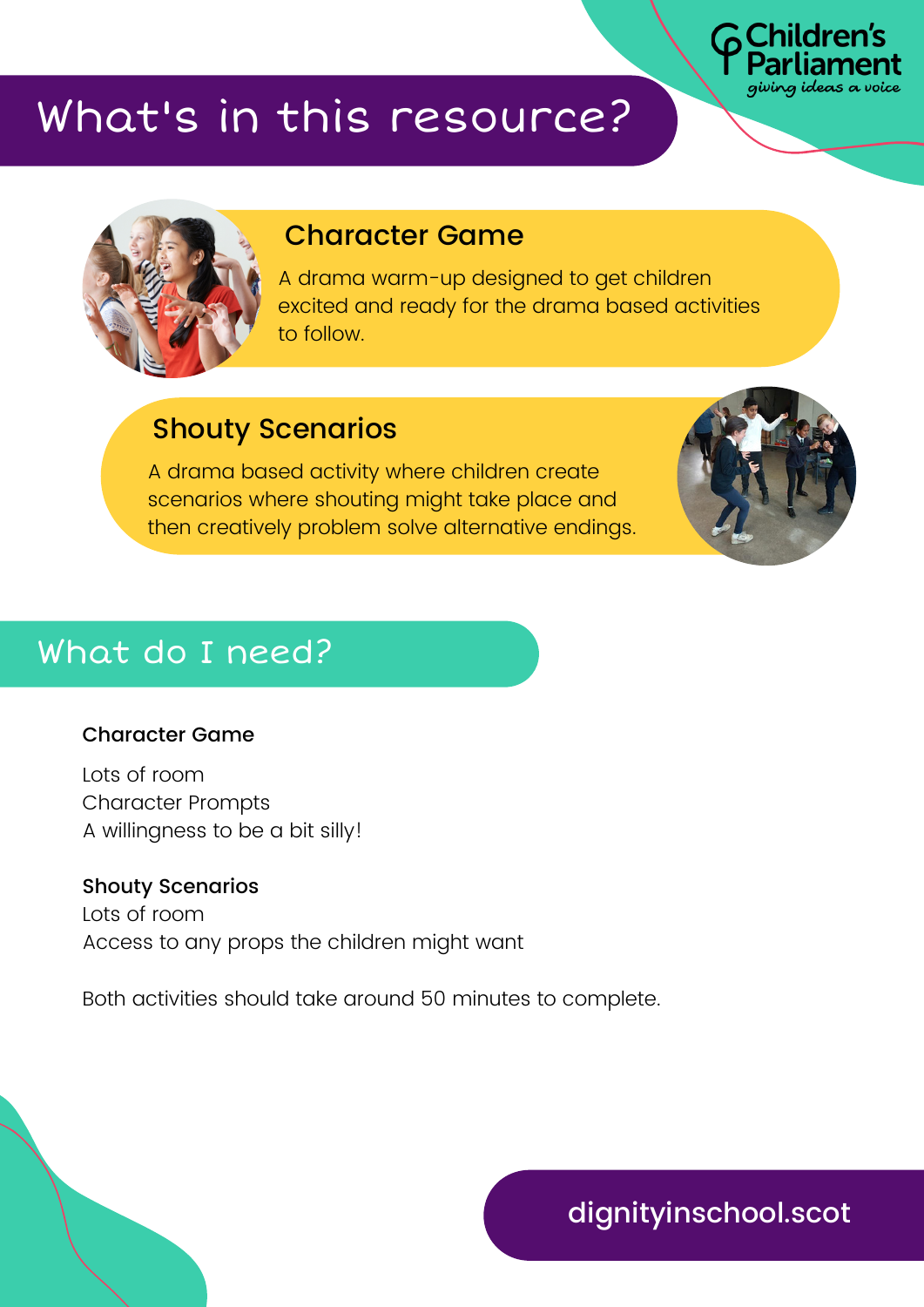

### What's in this resource?



#### Character Game

A drama warm-up designed to get children excited and ready for the drama based activities to follow.

#### Shouty Scenarios

A drama based activity where children create scenarios where shouting might take place and then creatively problem solve alternative endings.



#### What do I need?

#### Character Game

Lots of room Character Prompts A willingness to be a bit silly!

Shouty Scenarios Lots of room Access to any props the children might want

Both activities should take around 50 minutes to complete.

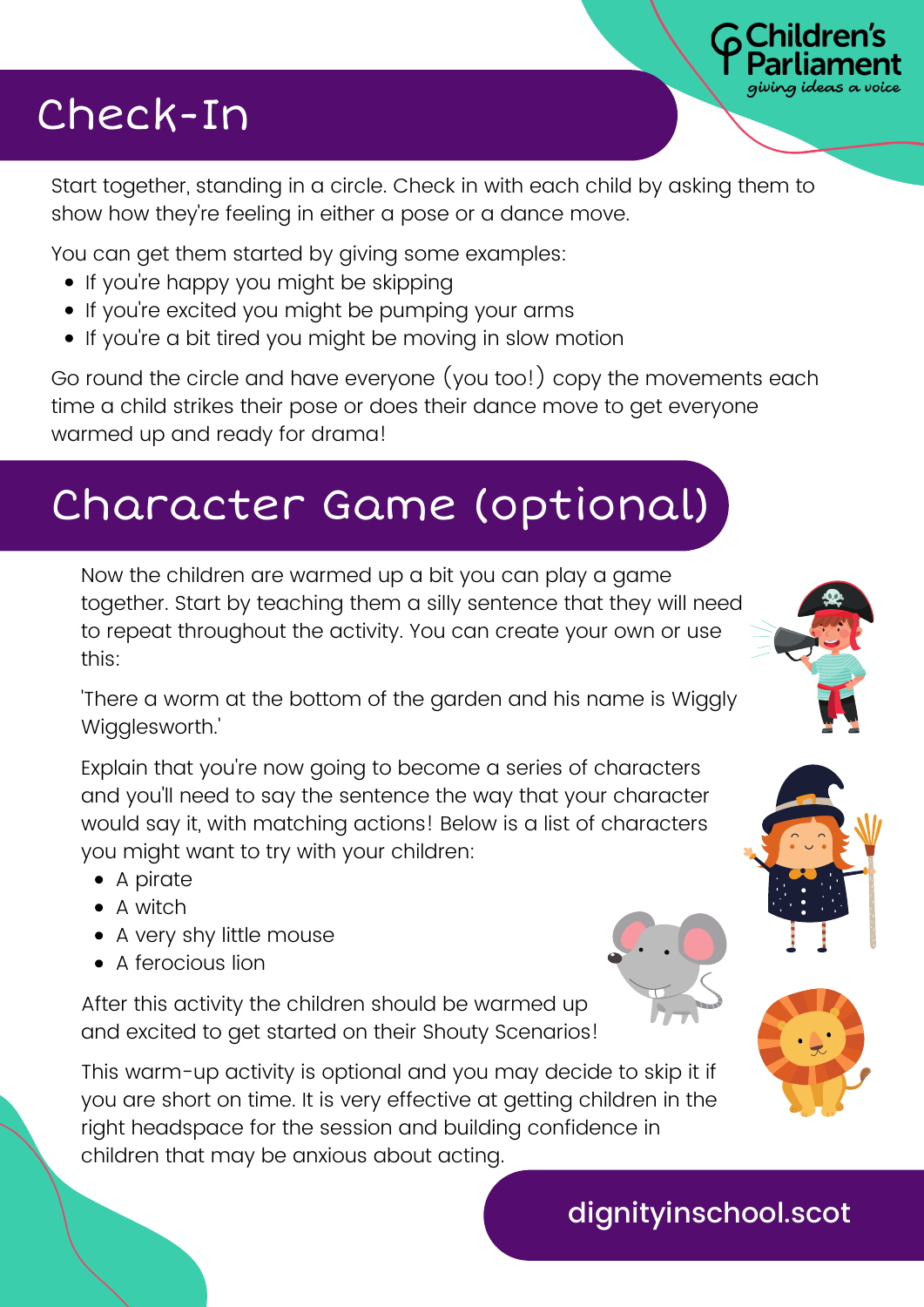### Check-In

Start together, standing in a circle. Check in with each child by asking them to show how they're feeling in either a pose or a dance move.

You can get them started by giving some examples:

- If you're happy you might be skipping
- If you're excited you might be pumping your arms
- If you're a bit tired you might be moving in slow motion

Go round the circle and have everyone (you too!) copy the movements each time a child strikes their pose or does their dance move to get everyone warmed up and ready for drama!

## Character Game (optional)

Now the children are warmed up a bit you can play a game together. Start by teaching them a silly sentence that they will need to repeat throughout the activity. You can create your own or use this:

'There a worm at the bottom of the garden and his name is Wiggly Wigglesworth.'

Explain that you're now going to become a series of characters and you'll need to say the sentence the way that your character would say it, with matching actions! Below is a list of characters you might want to try with your children:

- A pirate
- A witch
- A very shy little mouse
- A ferocious lion

After this activity the children should be warmed up and excited to get started on their Shouty Scenarios!

This warm-up activity is optional and you may decide to skip it if you are short on time. It is very effective at getting children in the right headspace for the session and building confidence in children that may be anxious about acting.



Idrer





dignityinschool.scot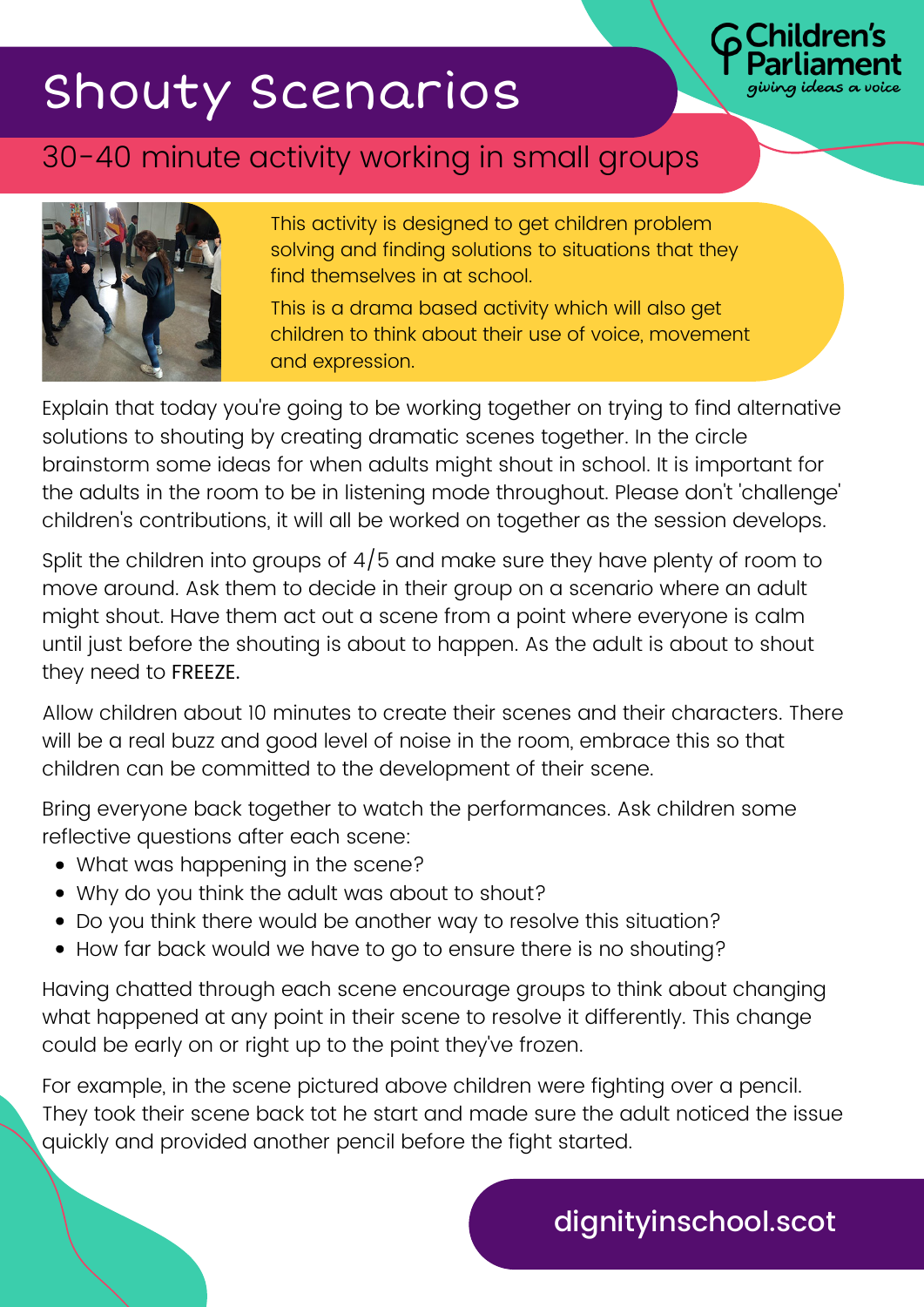# Shouty Scenarios

#### 30-40 minute activity working in small groups



This activity is designed to get children problem solving and finding solutions to situations that they find themselves in at school.

Idren's

This is a drama based activity which will also get children to think about their use of voice, movement and expression.

Explain that today you're going to be working together on trying to find alternative solutions to shouting by creating dramatic scenes together. In the circle brainstorm some ideas for when adults might shout in school. It is important for the adults in the room to be in listening mode throughout. Please don't 'challenge' children's contributions, it will all be worked on together as the session develops.

Split the children into groups of 4/5 and make sure they have plenty of room to move around. Ask them to decide in their group on a scenario where an adult might shout. Have them act out a scene from a point where everyone is calm until just before the shouting is about to happen. As the adult is about to shout they need to FREEZE.

Allow children about 10 minutes to create their scenes and their characters. There will be a real buzz and good level of noise in the room, embrace this so that children can be committed to the development of their scene.

Bring everyone back together to watch the performances. Ask children some reflective questions after each scene:

- What was happening in the scene?
- Why do you think the adult was about to shout?
- Do you think there would be another way to resolve this situation?
- How far back would we have to go to ensure there is no shouting?

Having chatted through each scene encourage groups to think about changing what happened at any point in their scene to resolve it differently. This change could be early on or right up to the point they've frozen.

For example, in the scene pictured above children were fighting over a pencil. They took their scene back tot he start and made sure the adult noticed the issue quickly and provided another pencil before the fight started.

#### dignityinschool.scot